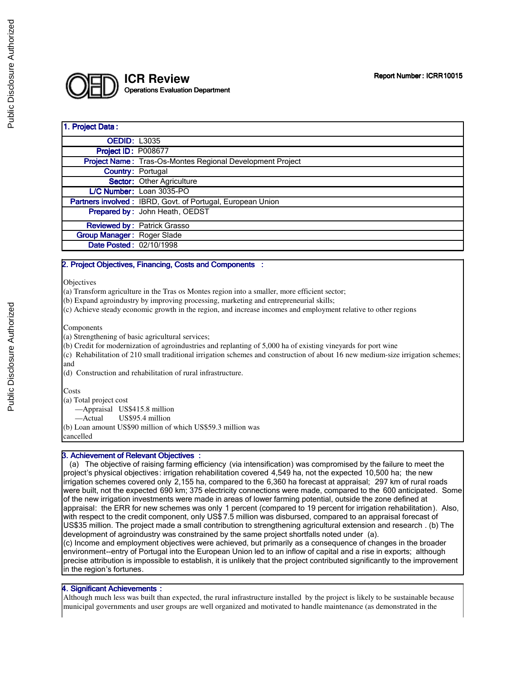

# 1. Project Data: **OEDID: L3035 Project ID: P008677** Project Name: Tras-Os-Montes Regional Development Project Country: Portugal Sector: Other Agriculture L/C Number: Loan 3035-PO Partners involved : IBRD, Govt. of Portugal, European Union Prepared by: John Heath, OEDST Reviewed by: Patrick Grasso Group Manager: Roger Slade Date Posted: 02/10/1998

### 2. Project Objectives, Financing, Costs and Components :

**Objectives** 

(a) Transform agriculture in the Tras os Montes region into a smaller, more efficient sector;

(b) Expand agroindustry by improving processing, marketing and entrepreneurial skills;

(c) Achieve steady economic growth in the region, and increase incomes and employment relative to other regions

#### Components

(a) Strengthening of basic agricultural services;

(b) Credit for modernization of agroindustries and replanting of 5,000 ha of existing vineyards for port wine

(c) Rehabilitation of 210 small traditional irrigation schemes and construction of about 16 new medium-size irrigation schemes; and

(d) Construction and rehabilitation of rural infrastructure.

**Costs** 

(a) Total project cost

—Appraisal US\$415.8 million

—Actual US\$95.4 million

(b) Loan amount US\$90 million of which US\$59.3 million was cancelled

**3. Achievement of Relevant Objectives :** 

 (a) The objective of raising farming efficiency (via intensification) was compromised by the failure to meet the project's physical objectives: irrigation rehabilitation covered 4,549 ha, not the expected 10,500 ha; the new irrigation schemes covered only 2,155 ha, compared to the 6,360 ha forecast at appraisal; 297 km of rural roads were built, not the expected 690 km; 375 electricity connections were made, compared to the 600 anticipated. Some of the new irrigation investments were made in areas of lower farming potential, outside the zone defined at appraisal: the ERR for new schemes was only 1 percent (compared to 19 percent for irrigation rehabilitation). Also, with respect to the credit component, only US\$ 7.5 million was disbursed, compared to an appraisal forecast of US\$35 million. The project made a small contribution to strengthening agricultural extension and research . (b) The development of agroindustry was constrained by the same project shortfalls noted under (a).

(c) Income and employment objectives were achieved, but primarily as a consequence of changes in the broader environment--entry of Portugal into the European Union led to an inflow of capital and a rise in exports; although precise attribution is impossible to establish, it is unlikely that the project contributed significantly to the improvement in the region's fortunes.

### 4. Significant Achievements :

Although much less was built than expected, the rural infrastructure installed by the project is likely to be sustainable because municipal governments and user groups are well organized and motivated to handle maintenance (as demonstrated in the